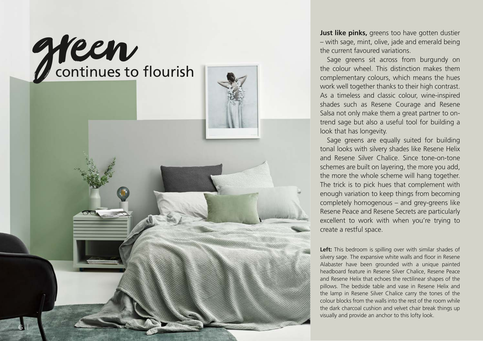

**Just like pinks,** greens too have gotten dustier – with sage, mint, olive, jade and emerald being the current favoured variations.

Sage greens sit across from burgundy on the colour wheel. This distinction makes them complementary colours, which means the hues work well together thanks to their high contrast. As a timeless and classic colour, wine-inspired shades such as Resene Courage and Resene Salsa not only make them a great partner to ontrend sage but also a useful tool for building a look that has longevity.

Sage greens are equally suited for building tonal looks with silvery shades like Resene Helix and Resene Silver Chalice. Since tone-on-tone schemes are built on layering, the more you add, the more the whole scheme will hang together. The trick is to pick hues that complement with enough variation to keep things from becoming completely homogenous – and grey-greens like Resene Peace and Resene Secrets are particularly excellent to work with when you're trying to create a restful space.

Left: This bedroom is spilling over with similar shades of silvery sage. The expansive white walls and floor in Resene Alabaster have been grounded with a unique painted headboard feature in Resene Silver Chalice, Resene Peace and Resene Helix that echoes the rectilinear shapes of the pillows. The bedside table and vase in Resene Helix and the lamp in Resene Silver Chalice carry the tones of the colour blocks from the walls into the rest of the room while the dark charcoal cushion and velvet chair break things up visually and provide an anchor to this lofty look.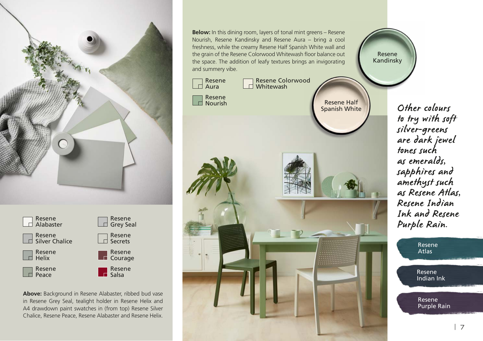Resene Resene Grey Seal Alabaster Resene Resene  $\Box$ Silver Chalice Secrets Resene Resene **Courage** Helix Resene Resene . H  $\Box$  Peace Salsa

> **Above:** Background in Resene Alabaster, ribbed bud vase in Resene Grey Seal, tealight holder in Resene Helix and A4 drawdown paint swatches in (from top) Resene Silver Chalice, Resene Peace, Resene Alabaster and Resene Helix.

**Below:** In this dining room, layers of tonal mint greens – Resene Nourish, Resene Kandinsky and Resene Aura – bring a cool freshness, while the creamy Resene Half Spanish White wall and the grain of the Resene Colorwood Whitewash floor balance out the space. The addition of leafy textures brings an invigorating and summery vibe.

> Resene Colorwood **Whitewash**

Resene Aura Resene Nourish

 $\Box$ 

Resene Half Spanish White

Resene Kandinsky



Other colours to try with soft silver-greens are dark jewel tones such as emeralds, sapphires and amethyst such as Resene Atlas, Resene Indian Ink and Resene Purple Rain.

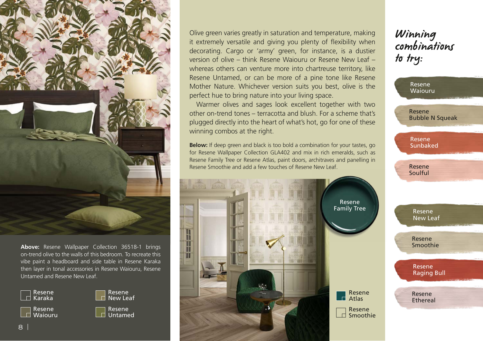

**Above:** Resene Wallpaper Collection 36518-1 brings on-trend olive to the walls of this bedroom. To recreate this vibe paint a headboard and side table in Resene Karaka then layer in tonal accessories in Resene Waiouru, Resene Untamed and Resene New Leaf.





Resene Untamed Olive green varies greatly in saturation and temperature, making it extremely versatile and giving you plenty of flexibility when decorating. Cargo or 'army' green, for instance, is a dustier version of olive – think Resene Waiouru or Resene New Leaf – whereas others can venture more into chartreuse territory, like Resene Untamed, or can be more of a pine tone like Resene Mother Nature. Whichever version suits you best, olive is the perfect hue to bring nature into your living space.

Warmer olives and sages look excellent together with two other on-trend tones – terracotta and blush. For a scheme that's plugged directly into the heart of what's hot, go for one of these winning combos at the right.

**Below:** If deep green and black is too bold a combination for your tastes, go for Resene Wallpaper Collection GLA402 and mix in rich emeralds, such as Resene Family Tree or Resene Atlas, paint doors, architraves and panelling in Resene Smoothie and add a few touches of Resene New Leaf.



## Winning combinations to try: